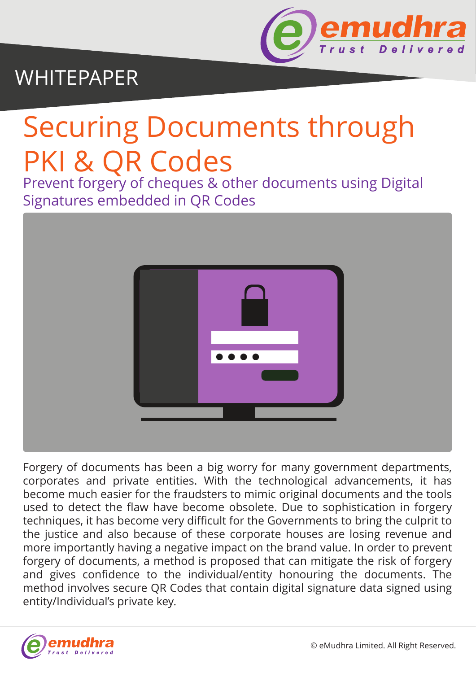

# WHITEPAPER

# Securing Documents through PKI & QR Codes

Prevent forgery of cheques & other documents using Digital Signatures embedded in QR Codes



Forgery of documents has been a big worry for many government departments, corporates and private entities. With the technological advancements, it has become much easier for the fraudsters to mimic original documents and the tools used to detect the flaw have become obsolete. Due to sophistication in forgery techniques, it has become very difficult for the Governments to bring the culprit to the justice and also because of these corporate houses are losing revenue and more importantly having a negative impact on the brand value. In order to prevent forgery of documents, a method is proposed that can mitigate the risk of forgery and gives confidence to the individual/entity honouring the documents. The method involves secure QR Codes that contain digital signature data signed using entity/Individual's private key.

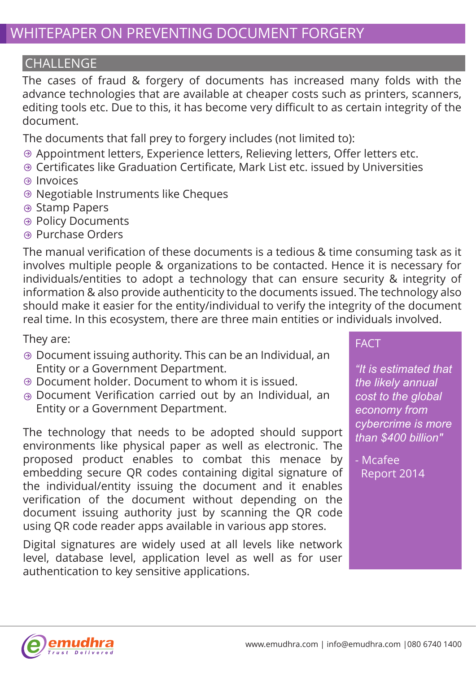#### CHALLENGE

The cases of fraud & forgery of documents has increased many folds with the advance technologies that are available at cheaper costs such as printers, scanners, editing tools etc. Due to this, it has become very difficult to as certain integrity of the document.

The documents that fall prey to forgery includes (not limited to):

- Appointment letters, Experience letters, Relieving letters, Offer letters etc.
- Certificates like Graduation Certificate, Mark List etc. issued by Universities
- <sup>⊕</sup> Invoices
- Negotiable Instruments like Cheques
- **Stamp Papers**
- **<sup>●</sup> Policy Documents**
- **A** Purchase Orders

The manual verification of these documents is a tedious & time consuming task as it involves multiple people & organizations to be contacted. Hence it is necessary for individuals/entities to adopt a technology that can ensure security & integrity of information & also provide authenticity to the documents issued. The technology also should make it easier for the entity/individual to verify the integrity of the document real time. In this ecosystem, there are three main entities or individuals involved.

They are:

- Document issuing authority. This can be an Individual, an Entity or a Government Department.
- Document holder. Document to whom it is issued.
- Document Verification carried out by an Individual, an Entity or a Government Department.

The technology that needs to be adopted should support environments like physical paper as well as electronic. The proposed product enables to combat this menace by embedding secure QR codes containing digital signature of the individual/entity issuing the document and it enables verification of the document without depending on the document issuing authority just by scanning the QR code using QR code reader apps available in various app stores.

Digital signatures are widely used at all levels like network level, database level, application level as well as for user authentication to key sensitive applications.

#### FACT

*"It is estimated that the likely annual cost to the global economy from cybercrime is more than \$400 billion"*

- Mcafee Report 2014

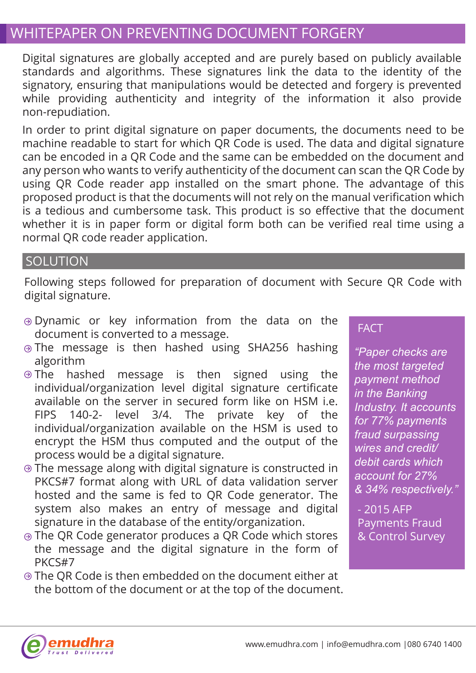## WHITEPAPER ON PREVENTING DOCUMENT FORGERY

Digital signatures are globally accepted and are purely based on publicly available standards and algorithms. These signatures link the data to the identity of the signatory, ensuring that manipulations would be detected and forgery is prevented while providing authenticity and integrity of the information it also provide non-repudiation.

In order to print digital signature on paper documents, the documents need to be machine readable to start for which QR Code is used. The data and digital signature can be encoded in a QR Code and the same can be embedded on the document and any person who wants to verify authenticity of the document can scan the QR Code by using QR Code reader app installed on the smart phone. The advantage of this proposed product is that the documents will not rely on the manual verification which is a tedious and cumbersome task. This product is so effective that the document whether it is in paper form or digital form both can be verified real time using a normal QR code reader application.

#### **SOLUTION**

Following steps followed for preparation of document with Secure QR Code with digital signature.

- Dynamic or key information from the data on the document is converted to a message.
- ⊕ The message is then hashed using SHA256 hashing algorithm
- $\Theta$  The hashed message is then signed using the individual/organization level digital signature certificate available on the server in secured form like on HSM i.e. FIPS 140-2- level 3/4. The private key of the individual/organization available on the HSM is used to encrypt the HSM thus computed and the output of the process would be a digital signature.
- The message along with digital signature is constructed in PKCS#7 format along with URL of data validation server hosted and the same is fed to QR Code generator. The system also makes an entry of message and digital signature in the database of the entity/organization.
- The QR Code generator produces a QR Code which stores the message and the digital signature in the form of PKCS#7
- ⊕ The OR Code is then embedded on the document either at the bottom of the document or at the top of the document.

#### **FACT**

*"Paper checks are the most targeted payment method in the Banking Industry. It accounts for 77% payments fraud surpassing wires and credit/ debit cards which account for 27% & 34% respectively."*

- 2015 AFP Payments Fraud & Control Survey

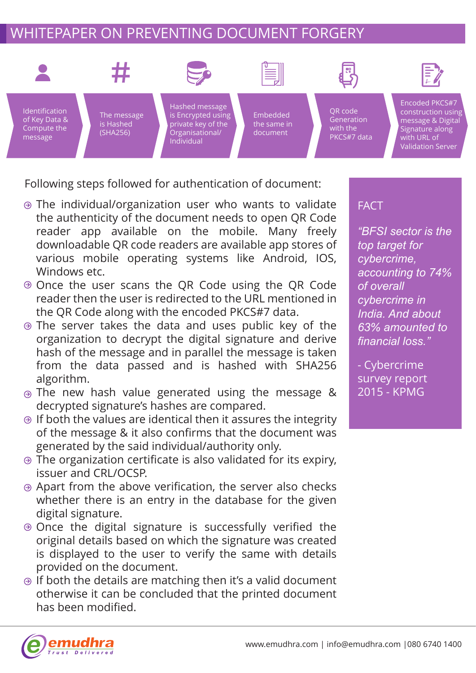# WHITEPAPER ON PREVENTING DOCUMENT FORGERY



Following steps followed for authentication of document:

- The individual/organization user who wants to validate the authenticity of the document needs to open QR Code reader app available on the mobile. Many freely downloadable QR code readers are available app stores of various mobile operating systems like Android, IOS, Windows etc.
- Once the user scans the QR Code using the QR Code reader then the user is redirected to the URL mentioned in the QR Code along with the encoded PKCS#7 data.
- The server takes the data and uses public key of the organization to decrypt the digital signature and derive hash of the message and in parallel the message is taken from the data passed and is hashed with SHA256 algorithm.
- The new hash value generated using the message & decrypted signature's hashes are compared.
- $\Theta$  If both the values are identical then it assures the integrity of the message & it also confirms that the document was generated by the said individual/authority only.
- The organization certificate is also validated for its expiry, issuer and CRL/OCSP.
- Apart from the above verification, the server also checks whether there is an entry in the database for the given digital signature.
- $\odot$  Once the digital signature is successfully verified the original details based on which the signature was created is displayed to the user to verify the same with details provided on the document.
- $\Theta$  if both the details are matching then it's a valid document otherwise it can be concluded that the printed document has been modified.

#### **FACT**

*"BFSI sector is the top target for cybercrime, accounting to 74% of overall cybercrime in India. And about 63% amounted to financial loss."*

- Cybercrime survey report 2015 - KPMG